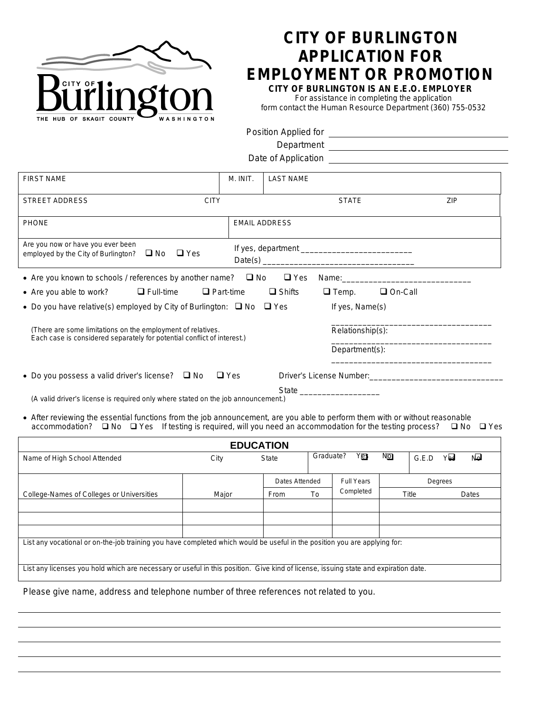

## **CITY OF BURLINGTON APPLICATION FOR EMPLOYMENT OR PROMOTION**

**CITY OF BURLINGTON IS AN E.E.O. EMPLOYER** For assistance in completing the application form contact the Human Resource Department (360) 755-0532

| <b>FIRST NAME</b>                                                                                                                                          | M. INIT.             | <b>LAST NAME</b>                                                                                               |     |  |
|------------------------------------------------------------------------------------------------------------------------------------------------------------|----------------------|----------------------------------------------------------------------------------------------------------------|-----|--|
| <b>STREET ADDRESS</b><br><b>CITY</b>                                                                                                                       |                      | <b>STATE</b>                                                                                                   | ZIP |  |
| <b>PHONE</b>                                                                                                                                               | <b>EMAIL ADDRESS</b> |                                                                                                                |     |  |
| Are you now or have you ever been<br>employed by the City of Burlington? ■ No ■ Yes<br>Date(s)                                                             |                      |                                                                                                                |     |  |
| • Are you known to schools / references by another name? $\Box$ No $\Box$ Yes                                                                              |                      | Name: when the contract of the contract of the contract of the contract of the contract of the contract of the |     |  |
| • Are you able to work? $\Box$ Full-time                                                                                                                   | $\Box$ Part-time     | $\Box$ Shifts<br>$\Box$ Temp.<br>$\Box$ On-Call                                                                |     |  |
| • Do you have relative(s) employed by City of Burlington: $\Box$ No $\Box$ Yes<br>If yes, Name(s)                                                          |                      |                                                                                                                |     |  |
| (There are some limitations on the employment of relatives.<br>Relationship(s):<br>Each case is considered separately for potential conflict of interest.) |                      |                                                                                                                |     |  |
|                                                                                                                                                            |                      | Department(s):                                                                                                 |     |  |
| • Do you possess a valid driver's license? $\Box$ No $\Box$ Yes                                                                                            |                      |                                                                                                                |     |  |
| State <b>State State State</b><br>(A valid driver's license is required only where stated on the job announcement.)                                        |                      |                                                                                                                |     |  |

 After reviewing the essential functions from the job announcement, are you able to perform them with or without reasonable accommodation?  $\Box$  No  $\Box$  Yes If testing is required, will you need an accommodation for the testing process?  $\Box$  No  $\Box$  Yes

| <b>EDUCATION</b>                                                                                                                    |       |                |           |                   |    |                   |
|-------------------------------------------------------------------------------------------------------------------------------------|-------|----------------|-----------|-------------------|----|-------------------|
| Name of High School Attended                                                                                                        | City  | State          | Graduate? | Y@\$              | No | ΝQ<br>YM<br>G.E.D |
|                                                                                                                                     |       | Dates Attended |           | <b>Full Years</b> |    | Degrees           |
| College-Names of Colleges or Universities                                                                                           | Major | From           | To        | Completed         |    | Title<br>Dates    |
|                                                                                                                                     |       |                |           |                   |    |                   |
|                                                                                                                                     |       |                |           |                   |    |                   |
|                                                                                                                                     |       |                |           |                   |    |                   |
| List any vocational or on-the-job training you have completed which would be useful in the position you are applying for:           |       |                |           |                   |    |                   |
| List any licenses you hold which are necessary or useful in this position. Give kind of license, issuing state and expiration date. |       |                |           |                   |    |                   |

Please give name, address and telephone number of three references not related to you.